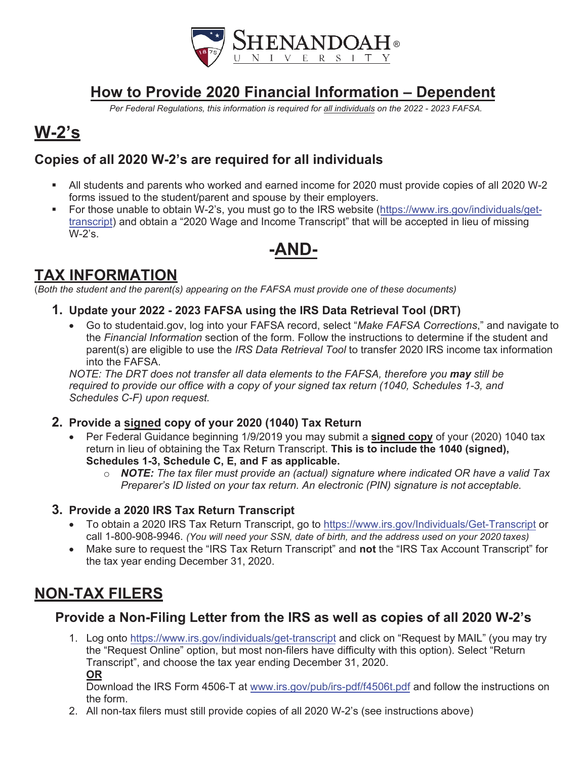

## **How to Provide 2020 Financial Information – Dependent**

*Per Federal Regulations, this information is required for all individuals on the 2022 - 2023 FAFSA.*

# **W-2's**

### **Copies of all 2020 W-2's are required for all individuals**

- All students and parents who worked and earned income for 2020 must provide copies of all 2020 W-2 forms issued to the student/parent and spouse by their employers.
- For those unable to obtain W-2's, you must go to the IRS website (https://www.irs.gov/individuals/gettranscript) and obtain a "2020 Wage and Income Transcript" that will be accepted in lieu of missing W-2's.

## **-AND-**

## **TAX INFORMATION**

(*Both the student and the parent(s) appearing on the FAFSA must provide one of these documents)*

- **1. Update your 2022 2023 FAFSA using the IRS Data Retrieval Tool (DRT)**
	- x Go to studentaid.gov, log into your FAFSA record, select "*Make FAFSA Corrections*," and navigate to the *Financial Information* section of the form. Follow the instructions to determine if the student and parent(s) are eligible to use the *IRS Data Retrieval Tool* to transfer 2020 IRS income tax information into the FAFSA.

*NOTE: The DRT does not transfer all data elements to the FAFSA, therefore you may still be required to provide our office with a copy of your signed tax return (1040, Schedules 1-3, and Schedules C-F) upon request.*

- **2. Provide a signed copy of your 2020 (1040) Tax Return**
	- x Per Federal Guidance beginning 1/9/2019 you may submit a **signed copy** of your (2020) 1040 tax return in lieu of obtaining the Tax Return Transcript. **This is to include the 1040 (signed), Schedules 1-3, Schedule C, E, and F as applicable.**
		- o *NOTE: The tax filer must provide an (actual) signature where indicated OR have a valid Tax Preparer's ID listed on your tax return. An electronic (PIN) signature is not acceptable.*

### **3. Provide a 2020 IRS Tax Return Transcript**

- To obtain a 2020 IRS Tax Return Transcript, go to https://www.irs.gov/Individuals/Get-Transcript or call 1-800-908-9946. *(You will need your SSN, date of birth, and the address used on your 2020 taxes)*
- x Make sure to request the "IRS Tax Return Transcript" and **not** the "IRS Tax Account Transcript" for the tax year ending December 31, 2020.

## **NON-TAX FILERS**

### **Provide a Non-Filing Letter from the IRS as well as copies of all 2020 W-2's**

1. Log onto https://www.irs.gov/individuals/get-transcript and click on "Request by MAIL" (you may try the "Request Online" option, but most non-filers have difficulty with this option). Select "Return Transcript", and choose the tax year ending December 31, 2020. **OR**

Download the IRS Form 4506-T at www.irs.gov/pub/irs-pdf/f4506t.pdf and follow the instructions on the form.

2. All non-tax filers must still provide copies of all 2020 W-2's (see instructions above)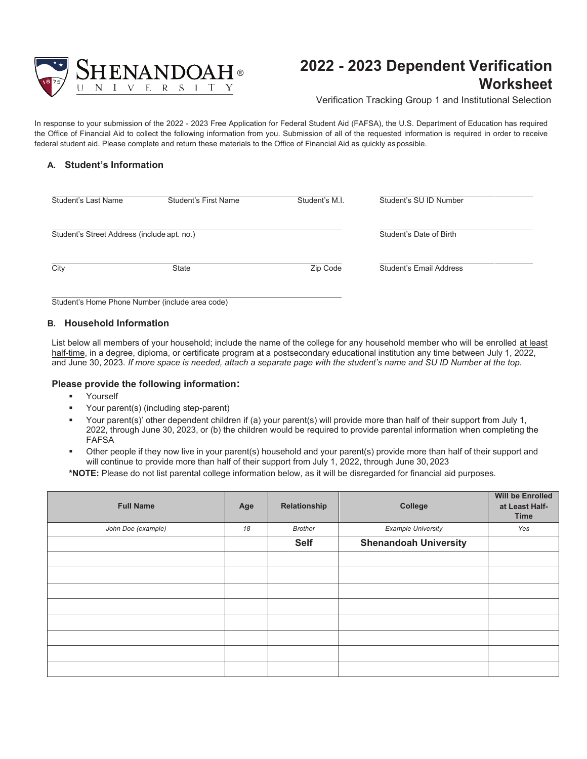

### **2022 - 2023 Dependent Verification Worksheet**

Verification Tracking Group 1 and Institutional Selection

In response to your submission of the 2022 - 2023 Free Application for Federal Student Aid (FAFSA), the U.S. Department of Education has required the Office of Financial Aid to collect the following information from you. Submission of all of the requested information is required in order to receive federal student aid. Please complete and return these materials to the Office of Financial Aid as quickly as possible.

#### **A. Student's Information**

| Student's Last Name                         | Student's First Name | Student's M.I. | Student's SU ID Number  |
|---------------------------------------------|----------------------|----------------|-------------------------|
| Student's Street Address (include apt. no.) |                      |                | Student's Date of Birth |
| City                                        | <b>State</b>         | Zip Code       | Student's Email Address |

Student's Home Phone Number (include area code)

#### **B. Household Information**

List below all members of your household; include the name of the college for any household member who will be enrolled at least half-time, in a degree, diploma, or certificate program at a postsecondary educational institution any time between July 1, 2022, and June 30, 2023. *If more space is needed, attach a separate page with the student's name and SU ID Number at the top.*

#### **Please provide the following information:**

- Yourself
- Your parent(s) (including step-parent)
- Your parent(s)' other dependent children if (a) your parent(s) will provide more than half of their support from July 1, 2022, through June 30, 2023, or (b) the children would be required to provide parental information when completing the FAFSA
- Other people if they now live in your parent(s) household and your parent(s) provide more than half of their support and will continue to provide more than half of their support from July 1, 2022, through June 30, 2023

**\*NOTE:** Please do not list parental college information below, as it will be disregarded for financial aid purposes.

| <b>Full Name</b>   | Age | Relationship   | College                      | <b>Will be Enrolled</b><br>at Least Half-<br><b>Time</b> |
|--------------------|-----|----------------|------------------------------|----------------------------------------------------------|
| John Doe (example) | 18  | <b>Brother</b> | <b>Example University</b>    | Yes                                                      |
|                    |     | <b>Self</b>    | <b>Shenandoah University</b> |                                                          |
|                    |     |                |                              |                                                          |
|                    |     |                |                              |                                                          |
|                    |     |                |                              |                                                          |
|                    |     |                |                              |                                                          |
|                    |     |                |                              |                                                          |
|                    |     |                |                              |                                                          |
|                    |     |                |                              |                                                          |
|                    |     |                |                              |                                                          |